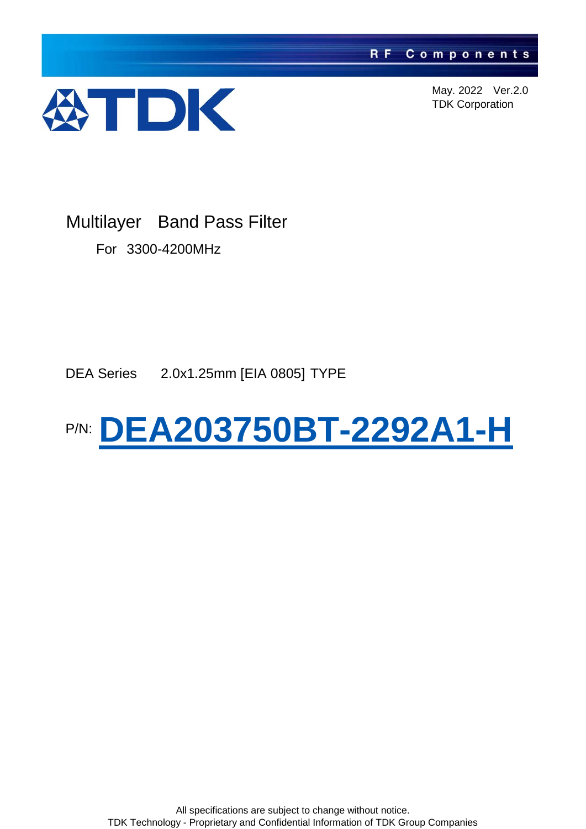

Multilayer Band Pass Filter

For 3300-4200MHz

DEA Series 2.0x1.25mm [EIA 0805] TYPE

#### P/N: **DEA203750BT-2292A1-H**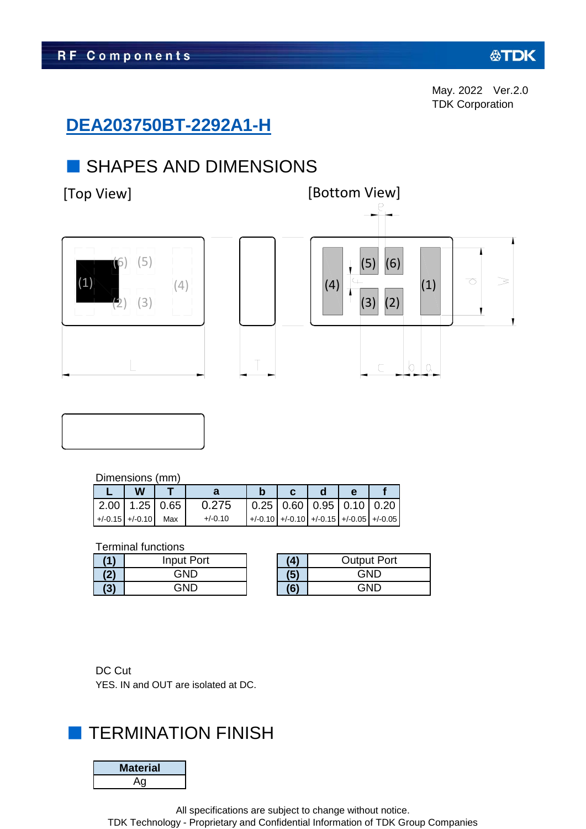## **DEA203750BT-2292A1-H**

### ■ SHAPES AND DIMENSIONS





#### Dimensions (mm)

|  | W                     |           |                                                          |  |  |
|--|-----------------------|-----------|----------------------------------------------------------|--|--|
|  | $2.00$ 1.25 0.65      | 0.275     | $\vert 0.25 \vert 0.60 \vert 0.95 \vert 0.10 \vert 0.20$ |  |  |
|  | $+/-0.15$ +/-0.10 Max | $+/-0.10$ | $+/-0.10$ +/-0.10 +/-0.15 +/-0.05 +/-0.05                |  |  |

#### Terminal functions

| <b>A</b> | Input Port |  |
|----------|------------|--|
|          | GND        |  |
|          | חוחר       |  |

| <b>Output Port</b> |
|--------------------|
| GND                |
| GND                |

DC Cut YES. IN and OUT are isolated at DC.

## **TERMINATION FINISH**

| ateriai |  |
|---------|--|
|         |  |

All specifications are subject to change without notice.

TDK Technology - Proprietary and Confidential Information of TDK Group Companies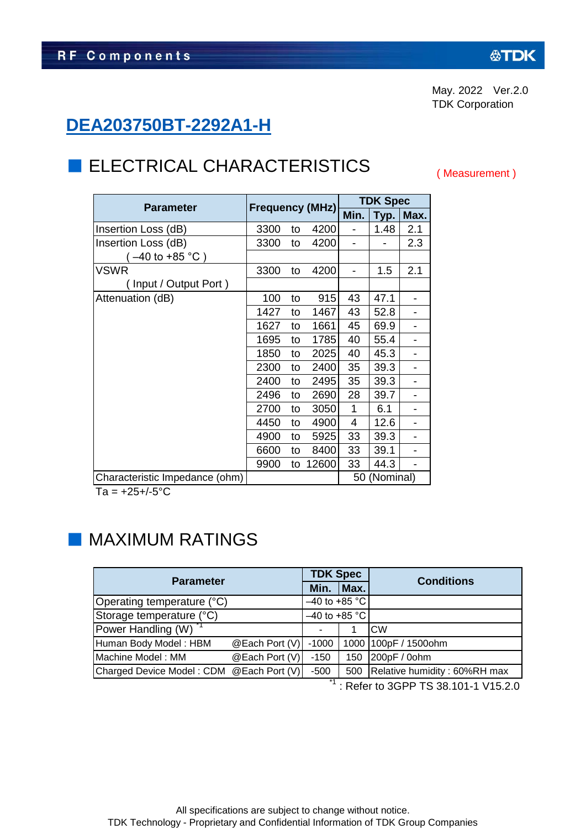## **DEA203750BT-2292A1-H**

 $(-40 \text{ to } +85 \text{ °C})$ 

( Input / Output Port )

# **ELECTRICAL CHARACTERISTICS**

**Parameter Frequency (MHz)**

Insertion Loss (dB)  $\begin{array}{|c|c|c|c|c|c|c|c|c|} \hline \end{array}$  3300 to 4200 - 1.48 2.1  $Insertion Loss (dB)$   $3300$  to 4200 - - 2.3

VSWR 3300 to 4200 - 1.5 2.1

Attenuation (dB) 100 to 915 43 47.1 -

( Measurement )

**Min. Typ. Max.**

**TDK Spec**

50 (Nominal)

1427 to 1467 | 43 | 52.8 | -1627 to 1661 45 69.9 -1695 to 1785 40 55.4 -1850 to 2025 40 45.3 -2300 to 2400 35 39.3 -

| 2400 |    | to 2495 35 |    | 39.3 | -                        |
|------|----|------------|----|------|--------------------------|
| 2496 | to | 2690       | 28 | 39.7 |                          |
| 2700 |    | to 3050    | 1  | 6.1  | $\overline{\phantom{0}}$ |
| 4450 | to | 4900       | 4  | 12.6 |                          |
| 4900 | to | 5925       | 33 | 39.3 | $\overline{\phantom{0}}$ |
| 6600 | to | 8400       | 33 | 39.1 |                          |
| 9900 |    | to 12600   | 33 | 44.3 |                          |

Characteristic Impedance (ohm)

 $Ta = +25 + (-5)C$ 

# ■ MAXIMUM RATINGS

| <b>Parameter</b>                         |                | <b>TDK Spec</b> |     | <b>Conditions</b>                |
|------------------------------------------|----------------|-----------------|-----|----------------------------------|
|                                          | Min.           | Max.            |     |                                  |
| Operating temperature (°C)               |                | $-40$ to +85 °C |     |                                  |
| Storage temperature (°C)                 |                | $-40$ to +85 °C |     |                                  |
| Power Handling (W) <sup>"1</sup>         |                |                 |     | <b>CW</b>                        |
| Human Body Model: HBM                    | @Each Port (V) | $-1000$         |     | 1000 100pF / 1500ohm             |
| Machine Model: MM                        | @Each Port (V) | -150            | 150 | 200pF / 0ohm                     |
| Charged Device Model: CDM @Each Port (V) |                |                 |     | 500 Relative humidity: 60%RH max |

 $11$  : Refer to 3GPP TS 38.101-1 V15.2.0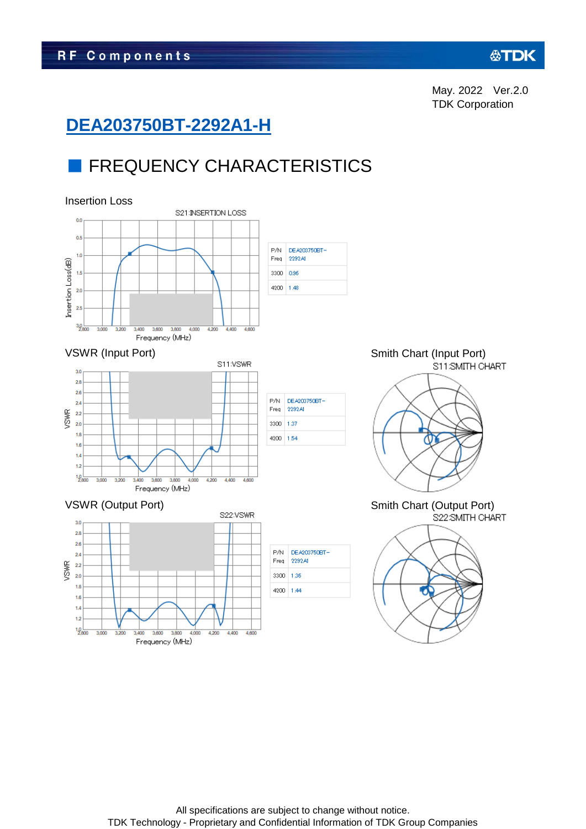#### **公丁DK**

May. 2022 Ver.2.0 TDK Corporation

# **DEA203750BT-2292A1-H**

# **FREQUENCY CHARACTERISTICS**

#### Insertion Loss

3,200

3,600

3.400

4.000

3,800 Frequency (MHz)

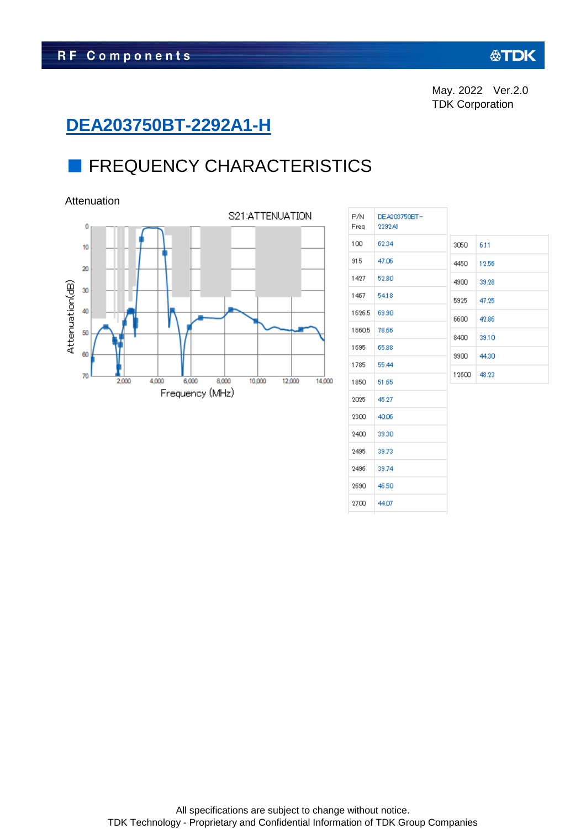# **DEA203750BT-2292A1-H**

# **E** FREQUENCY CHARACTERISTICS

Attenuation





| P/N.<br>Freq | DEA203750BT-<br>2292AI |       |       |
|--------------|------------------------|-------|-------|
| 100          | 62.34                  | 3050  | 6.11  |
| 915          | 47.06                  | 4450  | 12.56 |
| 1427         | 52.80                  | 4900  | 39.28 |
| 1467         | 54.18                  | 5925  | 47.25 |
| 1626.5       | 69.90                  | 6600  | 42.86 |
| 1660.5       | 78.66                  | 8400  | 39.10 |
| 1695         | 65.88                  | 9900  | 44.30 |
| 1785         | 55.44                  |       |       |
| 1850         | 51.65                  | 12600 | 48.23 |
| 2025         | 45.27                  |       |       |
| 2300         | 40.06                  |       |       |
| 2400         | 39.30                  |       |       |
| 2495         | 39.73                  |       |       |
| 2496         | 39.74                  |       |       |
| 2690         | 46.50                  |       |       |
| 2700         | 44.07                  |       |       |
|              |                        |       |       |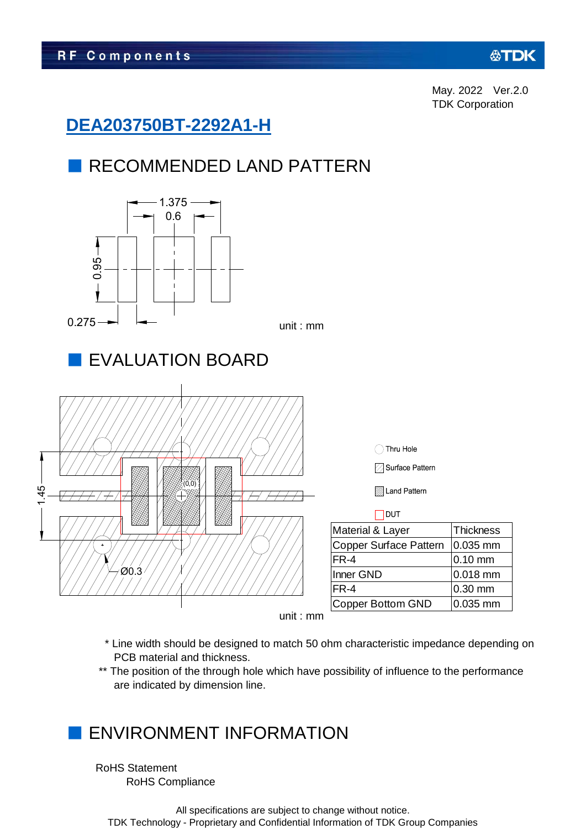## **DEA203750BT-2292A1-H**

# ■ RECOMMENDED LAND PATTERN



- \* Line width should be designed to match 50 ohm characteristic impedance depending on PCB material and thickness.
- \*\* The position of the through hole which have possibility of influence to the performance are indicated by dimension line.

# ENVIRONMENT INFORMATION

RoHS Statement RoHS Compliance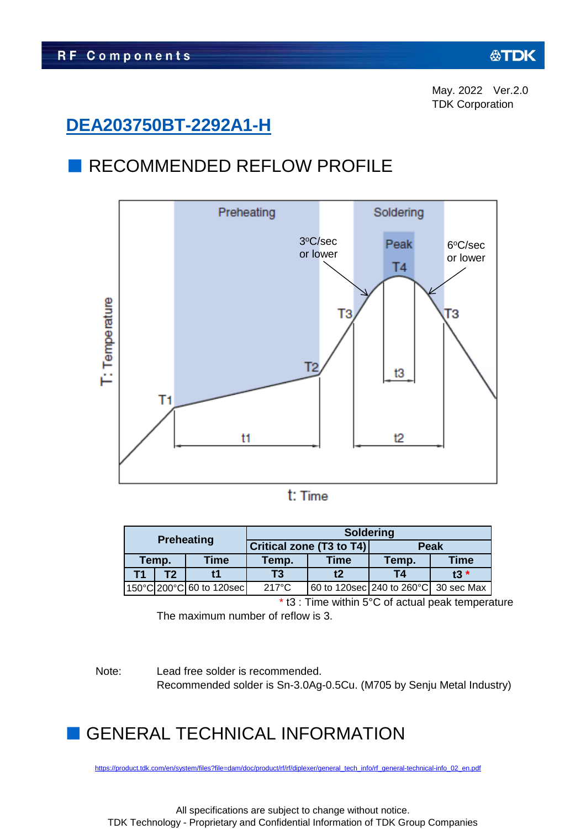### **DEA203750BT-2292A1-H**

#### ■ RECOMMENDED REFLOW PROFILE



|                          |  |                 | <b>Soldering</b>                     |                          |             |       |  |  |
|--------------------------|--|-----------------|--------------------------------------|--------------------------|-------------|-------|--|--|
| <b>Preheating</b>        |  |                 |                                      | Critical zone (T3 to T4) | <b>Peak</b> |       |  |  |
| Temp.                    |  | Time            | Temp.                                | <b>Time</b>              | Temp.       | Time  |  |  |
| Т2<br>т1                 |  |                 | Т3                                   | t2                       | T4          | $t3*$ |  |  |
| 150°C 200°C 60 to 120sec |  | $217^{\circ}$ C | 60 to 120sec 240 to 260°C 30 sec Max |                          |             |       |  |  |

\* t3 : Time within 5°C of actual peak temperature The maximum number of reflow is 3.

Note: Lead free solder is recommended. Recommended solder is Sn-3.0Ag-0.5Cu. (M705 by Senju Metal Industry)

# **GENERAL TECHNICAL INFORMATION**

[https://product.tdk.com/en/system/files?file=dam/doc/product/rf/rf/diplexer/general\\_tech\\_info/rf\\_general-technical-info\\_02\\_en.pdf](https://product.tdk.com/en/system/files?file=dam/doc/product/rf/rf/diplexer/general_tech_info/rf_general-technical-info_02_en.pdf)

All specifications are subject to change without notice. TDK Technology - Proprietary and Confidential Information of TDK Group Companies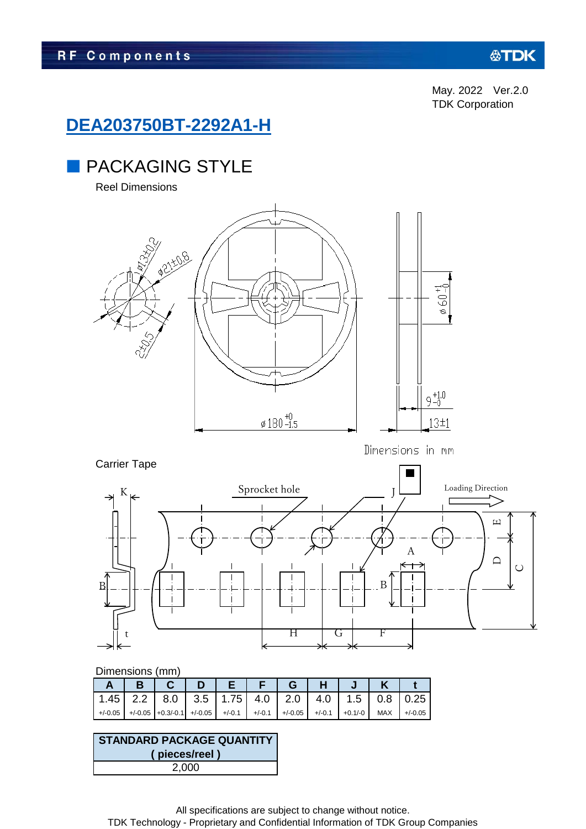#### **公TDK**

May. 2022 Ver.2.0 TDK Corporation

#### **DEA203750BT-2292A1-H**

### **PACKAGING STYLE**

Reel Dimensions



Carrier Tape

Dimensions in mm



#### Dimensions (mm)

|  |                                                                                      |  |  | GHJI |  |
|--|--------------------------------------------------------------------------------------|--|--|------|--|
|  | 1.45   2.2   8.0   3.5   1.75   4.0   2.0   4.0   1.5   0.8   0.25                   |  |  |      |  |
|  | $+/-0.05$ +/-0.05 +0.3/-0.1 +/-0.05 +/-0.1 +/-0.1 +/-0.05 +/-0.1 +0.1/-0 MAX +/-0.05 |  |  |      |  |

#### 2,000 **STANDARD PACKAGE QUANTITY ( pieces/reel )**

All specifications are subject to change without notice. TDK Technology - Proprietary and Confidential Information of TDK Group Companies